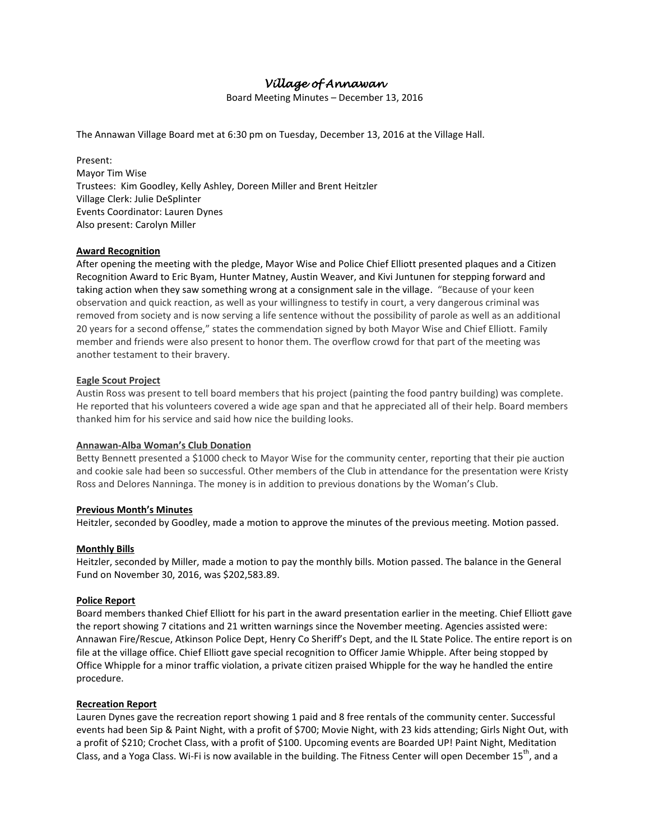# *Village of Annawan*

Board Meeting Minutes – December 13, 2016

The Annawan Village Board met at 6:30 pm on Tuesday, December 13, 2016 at the Village Hall.

Present: Mayor Tim Wise Trustees: Kim Goodley, Kelly Ashley, Doreen Miller and Brent Heitzler Village Clerk: Julie DeSplinter Events Coordinator: Lauren Dynes Also present: Carolyn Miller

#### **Award Recognition**

After opening the meeting with the pledge, Mayor Wise and Police Chief Elliott presented plaques and a Citizen Recognition Award to Eric Byam, Hunter Matney, Austin Weaver, and Kivi Juntunen for stepping forward and taking action when they saw something wrong at a consignment sale in the village. "Because of your keen observation and quick reaction, as well as your willingness to testify in court, a very dangerous criminal was removed from society and is now serving a life sentence without the possibility of parole as well as an additional 20 years for a second offense," states the commendation signed by both Mayor Wise and Chief Elliott. Family member and friends were also present to honor them. The overflow crowd for that part of the meeting was another testament to their bravery.

#### **Eagle Scout Project**

Austin Ross was present to tell board members that his project (painting the food pantry building) was complete. He reported that his volunteers covered a wide age span and that he appreciated all of their help. Board members thanked him for his service and said how nice the building looks.

#### **Annawan-Alba Woman's Club Donation**

Betty Bennett presented a \$1000 check to Mayor Wise for the community center, reporting that their pie auction and cookie sale had been so successful. Other members of the Club in attendance for the presentation were Kristy Ross and Delores Nanninga. The money is in addition to previous donations by the Woman's Club.

#### **Previous Month's Minutes**

Heitzler, seconded by Goodley, made a motion to approve the minutes of the previous meeting. Motion passed.

#### **Monthly Bills**

Heitzler, seconded by Miller, made a motion to pay the monthly bills. Motion passed. The balance in the General Fund on November 30, 2016, was \$202,583.89.

#### **Police Report**

Board members thanked Chief Elliott for his part in the award presentation earlier in the meeting. Chief Elliott gave the report showing 7 citations and 21 written warnings since the November meeting. Agencies assisted were: Annawan Fire/Rescue, Atkinson Police Dept, Henry Co Sheriff's Dept, and the IL State Police. The entire report is on file at the village office. Chief Elliott gave special recognition to Officer Jamie Whipple. After being stopped by Office Whipple for a minor traffic violation, a private citizen praised Whipple for the way he handled the entire procedure.

#### **Recreation Report**

Lauren Dynes gave the recreation report showing 1 paid and 8 free rentals of the community center. Successful events had been Sip & Paint Night, with a profit of \$700; Movie Night, with 23 kids attending; Girls Night Out, with a profit of \$210; Crochet Class, with a profit of \$100. Upcoming events are Boarded UP! Paint Night, Meditation Class, and a Yoga Class. Wi-Fi is now available in the building. The Fitness Center will open December  $15^{th}$ , and a